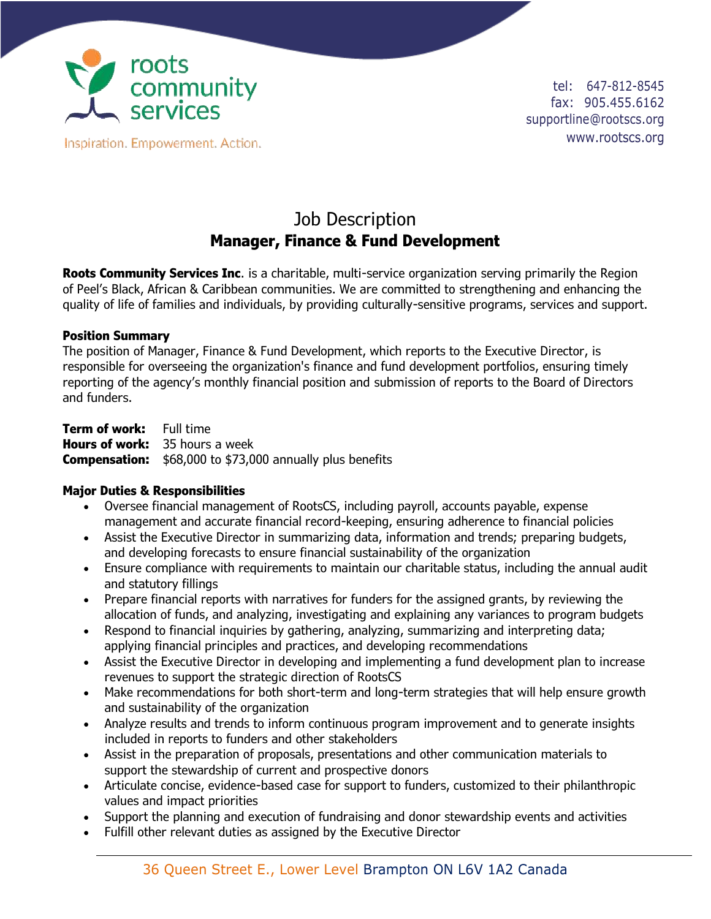

Inspiration. Empowerment. Action.

tel: 647-812-8545 fax: 905.455.6162 supportline@rootscs.org www.rootscs.org

## Job Description **Manager, Finance & Fund Development**

**Roots Community Services Inc**. is a charitable, multi-service organization serving primarily the Region of Peel's Black, African & Caribbean communities. We are committed to strengthening and enhancing the quality of life of families and individuals, by providing culturally-sensitive programs, services and support.

## **Position Summary**

The position of Manager, Finance & Fund Development, which reports to the Executive Director, is responsible for overseeing the organization's finance and fund development portfolios, ensuring timely reporting of the agency's monthly financial position and submission of reports to the Board of Directors and funders.

**Term of work:** Full time **Hours of work:** 35 hours a week **Compensation:** \$68,000 to \$73,000 annually plus benefits

## **Major Duties & Responsibilities**

- Oversee financial management of RootsCS, including payroll, accounts payable, expense management and accurate financial record-keeping, ensuring adherence to financial policies
- Assist the Executive Director in summarizing data, information and trends; preparing budgets, and developing forecasts to ensure financial sustainability of the organization
- Ensure compliance with requirements to maintain our charitable status, including the annual audit and statutory fillings
- Prepare financial reports with narratives for funders for the assigned grants, by reviewing the allocation of funds, and analyzing, investigating and explaining any variances to program budgets
- Respond to financial inquiries by gathering, analyzing, summarizing and interpreting data; applying financial principles and practices, and developing recommendations
- Assist the Executive Director in developing and implementing a fund development plan to increase revenues to support the strategic direction of RootsCS
- Make recommendations for both short-term and long-term strategies that will help ensure growth and sustainability of the organization
- Analyze results and trends to inform continuous program improvement and to generate insights included in reports to funders and other stakeholders
- Assist in the preparation of proposals, presentations and other communication materials to support the stewardship of current and prospective donors
- Articulate concise, evidence-based case for support to funders, customized to their philanthropic values and impact priorities
- Support the planning and execution of fundraising and donor stewardship events and activities
- Fulfill other relevant duties as assigned by the Executive Director